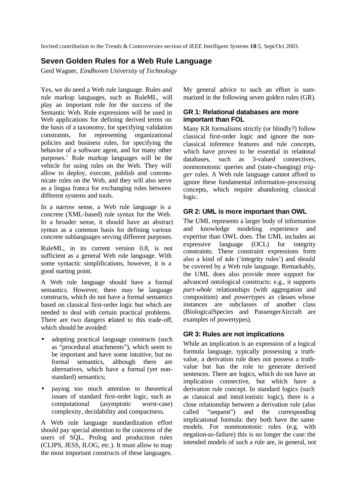Invited contribution to the Trends & Controversies section of *IEEE Intelligent Systems* **18**:5, Sept/Oct 2003.

# **Seven Golden Rules for a Web Rule Language**

Gerd Wagner, *Eindhoven University of Technology*

Yes, we do need a Web rule language. Rules and rule markup languages, such as RuleML, will play an important role for the success of the Semantic Web. Rule expressions will be used in Web applications for defining derived terms on the basis of a taxonomy, for specifying validation constraints, for representing organizational policies and business rules, for specifying the behavior of a software agent, and for many other purposes. 1 Rule markup languages will be the vehicle for using rules on the Web. They will allow to deploy, execute, publish and communicate rules on the Web, and they will also serve as a lingua franca for exchanging rules between different systems and tools.

In a narrow sense, a Web rule language is a concrete (XML-based) rule syntax for the Web. In a broader sense, it should have an abstract syntax as a common basis for defining various concrete sublanguages serving different purposes.

RuleML, in its current version 0.8, is not sufficient as a general Web rule language. With some syntactic simplifications, however, it is a good starting point.

A Web rule language should have a formal semantics. However, there may be language constructs, which do not have a formal semantics based on classical first-order logic but which are needed to deal with certain practical problems. There are two dangers related to this trade-off, which should be avoided:

- adopting practical language constructs (such as "procedural attachments"), which seem to be important and have some intuitive, but no formal semantics, although there are alternatives, which have a formal (yet nonstandard) semantics;
- paying too much attention to theoretical issues of standard first-order logic, such as computational (asymptotic worst-case) complexity, decidability and compactness.

A Web rule language standardization effort should pay special attention to the concerns of the users of SQL, Prolog and production rules (CLIPS, JESS, ILOG, etc.). It must allow to map the most important constructs of these languages.

My general advice to such an effort is summarized in the following seven golden rules (GR).

# **GR 1: Relational databases are more important than FOL**

Many KR formalisms strictly (or blindly?) follow classical first-order logic and ignore the nonclassical inference features and rule concepts, which have proven to be essential in relational databases, such as 3-valued connectives, nonmonotonic queries and (state-changing) *trigger* rules. A Web rule language cannot afford to ignore these fundamental information-processing concepts, which require abandoning classical logic.

# **GR 2: UML is more important than OWL**

The UML represents a larger body of information and knowledge modeling experience and expertise than OWL does. The UML includes an expressive language (OCL) for integrity constraints. These constraint expressions form also a kind of rule ('integrity rules') and should be covered by a Web rule language. Remarkably, the UML does also provide more support for advanced ontological constructs: e.g., it supports *part-whole* relationships (with aggregation and composition) and *powertypes* as classes whose instances are subclasses of another class (BiologicalSpecies and PassengerAircraft are examples of powertypes).

# **GR 3: Rules are not implications**

While an implication is an expression of a logical formula language, typically possessing a truthvalue, a derivation rule does not possess a truthvalue but has the role to generate derived sentences. There are logics, which do not have an implication connective, but which have a derivation rule concept. In standard logics (such as classical and intuitionistic logic), there is a close relationship between a derivation rule (also called "sequent") and the corresponding implicational formula: they both have the same models. For nonmonotonic rules (e.g. with negation-as-failure) this is no longer the case: the intended models of such a rule are, in general, not